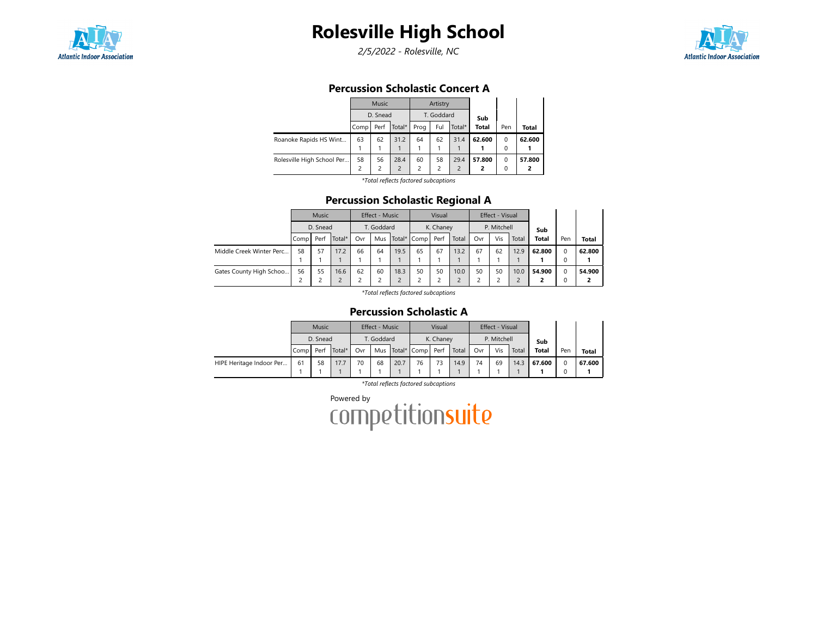

2/5/2022 - Rolesville, NC



#### Percussion Scholastic Concert A

|                            |      | Music          |                          |      | Artistry                |                |              |          |        |
|----------------------------|------|----------------|--------------------------|------|-------------------------|----------------|--------------|----------|--------|
|                            |      | D. Snead       |                          |      | T. Goddard              |                | Sub          |          |        |
|                            | Comp | Perf           | Total*                   | Prog | Ful                     | Total*         | <b>Total</b> | Pen      | Total  |
| Roanoke Rapids HS Wint     | 63   | 62             | 31.2                     | 64   | 62                      | 31.4           | 62.600       | $\Omega$ | 62.600 |
|                            |      |                |                          |      |                         |                |              | 0        |        |
| Rolesville High School Per | 58   | 56             | 28.4                     | 60   | 58                      | 29.4           | 57.800       | $\Omega$ | 57.800 |
|                            | 2    | $\overline{c}$ | $\overline{\phantom{0}}$ | 2    | $\overline{\mathbf{c}}$ | $\overline{2}$ | 2            | 0        |        |
|                            |      |                | .                        |      |                         |                |              |          |        |

\*Total reflects factored subcaptions

## Percussion Scholastic Regional A

|                          |        | <b>Music</b>                 |      |    | Effect - Music |      |                      | Visual    |       |     | Effect - Visual |       |              |     |              |
|--------------------------|--------|------------------------------|------|----|----------------|------|----------------------|-----------|-------|-----|-----------------|-------|--------------|-----|--------------|
|                          |        | D. Snead                     |      |    | T. Goddard     |      |                      | K. Chaney |       |     | P. Mitchell     |       | Sub          |     |              |
|                          | Comp l | Total*<br>Perf<br>57<br>17.2 |      |    |                |      | Mus Total* Comp Perf |           | Total | Ovr | Vis             | Total | <b>Total</b> | Pen | <b>Total</b> |
| Middle Creek Winter Perc | 58     |                              |      | 66 | 64             | 19.5 | 65                   | 67        | 13.2  | 67  | 62              | 12.9  | 62.800       | 0   | 62.800       |
|                          |        |                              |      |    |                |      |                      |           |       |     |                 |       |              |     |              |
| Gates County High Schoo  | 56     | 55                           | 16.6 | 62 | 60             | 18.3 | 50                   | 50        | 10.0  | 50  | 50              | 10.0  | 54.900       |     | 54.900       |
|                          | 2      |                              |      |    |                |      |                      |           |       |     |                 |       |              |     |              |

\*Total reflects factored subcaptions

#### Percussion Scholastic A

|                          |      | <b>Music</b>               |      |     | Effect - Music |      |                      | Visual    |       |     | Effect - Visual |       |              |     |              |
|--------------------------|------|----------------------------|------|-----|----------------|------|----------------------|-----------|-------|-----|-----------------|-------|--------------|-----|--------------|
|                          |      | D. Snead<br>Total*<br>Perf |      |     | T. Goddard     |      |                      | K. Chaney |       |     | P. Mitchell     |       | Sub          |     |              |
|                          | Comp |                            |      | Ovr |                |      | Mus Total* Comp Perf |           | Total | Ovr | Vis             | Total | <b>Total</b> | Pen | <b>Total</b> |
| HIPE Heritage Indoor Per | 61   | 58                         | 17.7 | 70  | 68             | 20.7 | 76                   | 73        | 14.9  | 74  | 69              | 14.3  | 67.600       |     | 67.600       |
|                          |      |                            |      |     |                |      |                      |           |       |     |                 |       |              |     |              |

\*Total reflects factored subcaptions

Powered by<br>COMPetitionsuite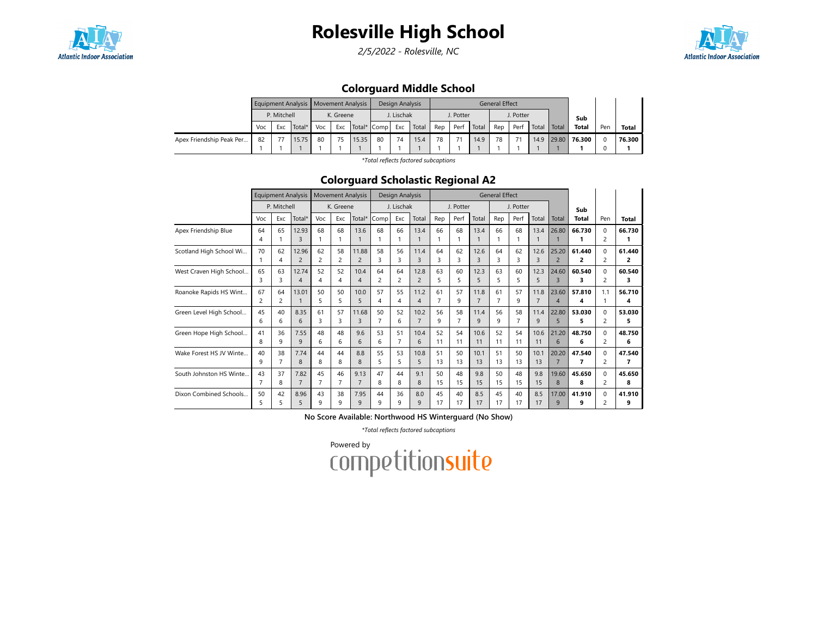

2/5/2022 - Rolesville, NC



## Colorguard Middle School

|                          |     |             | Equipment Analysis   Movement Analysis |     |                    |       |    | Design Analysis |       |     |           |       | <b>General Effect</b> |           |       |       |              |     |        |
|--------------------------|-----|-------------|----------------------------------------|-----|--------------------|-------|----|-----------------|-------|-----|-----------|-------|-----------------------|-----------|-------|-------|--------------|-----|--------|
|                          |     | P. Mitchell |                                        |     | K. Greene          |       |    | J. Lischak      |       |     | J. Potter |       |                       | J. Potter |       |       | Sub          |     |        |
|                          | Voc | Exc         | Total*                                 | Voc | Exc<br>Total* Comp |       |    | Exc             | Total | Rep | Perf      | Total | Rep                   | Perf      | Total | Total | <b>Total</b> | Pen | Total  |
| Apex Friendship Peak Per | 82  |             | 15.75                                  | 80  | 75                 | 15.35 | 80 | 74              | 15.4  | 78  |           | 14.9  | 78                    |           | 14.9  | 29.80 | 76.300       |     | 76.300 |
|                          |     |             |                                        |     |                    |       |    |                 |       |     |           |       |                       |           |       |       |              |     |        |

\*Total reflects factored subcaptions

#### Colorguard Scholastic Regional A2

|                         |                      | <b>Equipment Analysis</b> |                         |                      | <b>Movement Analysis</b> |                         |                      | Design Analysis |                        |                      |                      |                        | <b>General Effect</b> |           |                        |                         |              |                            |             |
|-------------------------|----------------------|---------------------------|-------------------------|----------------------|--------------------------|-------------------------|----------------------|-----------------|------------------------|----------------------|----------------------|------------------------|-----------------------|-----------|------------------------|-------------------------|--------------|----------------------------|-------------|
|                         |                      | P. Mitchell               |                         |                      | K. Greene                |                         |                      | J. Lischak      |                        |                      | J. Potter            |                        |                       | J. Potter |                        |                         | Sub          |                            |             |
|                         | Voc                  | Exc                       | Total*                  | Voc                  | Exc                      | Total*                  | Comp                 | Exc             | Total                  | Rep                  | Perf                 | Total                  | Rep                   | Perf      | Total                  | Total                   | <b>Total</b> | Pen                        | Total       |
| Apex Friendship Blue    | 64<br>4              | 65                        | 12.93<br>3              | 68                   | 68<br>1                  | 13.6                    | 68                   | 66              | 13.4                   | 66                   | 68                   | 13.4                   | 66                    | 68        | 13.4                   | 26.80                   | 66.730       | 0<br>$\overline{c}$        | 66.730      |
| Scotland High School Wi | 70                   | 62<br>4                   | 12.96<br>$\overline{2}$ | 62<br>$\overline{c}$ | 58<br>2                  | 11.88<br>$\overline{c}$ | 58<br>3              | 56<br>3         | 11.4<br>3              | 64<br>3              | 62<br>3              | 12.6<br>3              | 64<br>3               | 62<br>3   | 12.6<br>3              | 25.20<br>$\overline{2}$ | 61.440<br>2  | $\Omega$<br>2              | 61.440<br>2 |
| West Craven High School | 65<br>3              | 63<br>3                   | 12.74<br>4              | 52<br>4              | 52<br>4                  | 10.4<br>$\overline{4}$  | 64<br>$\overline{c}$ | 64<br>2         | 12.8<br>$\overline{2}$ | 63<br>5              | 60<br>5              | 12.3<br>5              | 63<br>5               | 60<br>5   | 12.3<br>5              | 24.60<br>3              | 60.540<br>3. | $\Omega$<br>$\overline{c}$ | 60.540<br>3 |
| Roanoke Rapids HS Wint  | 67<br>2              | 64<br>2                   | 13.01                   | 50<br>5              | 50<br>5                  | 10.0<br>5               | 57<br>4              | 55<br>4         | 11.2<br>4              | 61<br>$\overline{7}$ | 57<br>9              | 11.8<br>$\overline{7}$ | 61<br>7               | 57<br>9   | 11.8<br>$\overline{7}$ | 23.60<br>$\overline{4}$ | 57.810<br>4  | 1.1                        | 56.710<br>4 |
| Green Level High School | 45<br>6              | 40<br>6                   | 8.35<br>6               | 61<br>3              | 57<br>3                  | 11.68<br>3              | 50<br>7              | 52<br>6         | 10.2<br>$\overline{7}$ | 56<br>9              | 58<br>$\overline{7}$ | 11.4<br>9              | 56<br>9               | 58<br>7   | 11.4<br>9              | 22.80<br>5              | 53.030<br>5  | $\Omega$<br>$\overline{c}$ | 53.030<br>5 |
| Green Hope High School  | 41<br>8              | 36<br>9                   | 7.55<br>9               | 48<br>6              | 48<br>6                  | 9.6<br>6                | 53<br>6              | 51<br>7         | 10.4<br>6              | 52<br>11             | 54<br>11             | 10.6<br>11             | 52<br>11              | 54<br>11  | 10.6<br>11             | 21.20<br>6              | 48.750<br>6  | $\Omega$<br>$\overline{c}$ | 48.750<br>6 |
| Wake Forest HS JV Winte | 40<br>q              | 38                        | 7.74<br>8               | 44<br>8              | 44<br>8                  | 8.8<br>8                | 55<br>5              | 53<br>5         | 10.8<br>5              | 51<br>13             | 50<br>13             | 10.1<br>13             | 51<br>13              | 50<br>13  | 10.1<br>13             | 20.20<br>$\overline{7}$ | 47.540<br>7  | $\Omega$<br>2              | 47.540<br>7 |
| South Johnston HS Winte | 43<br>$\overline{7}$ | 37<br>8                   | 7.82<br>$\overline{7}$  | 45<br>$\overline{7}$ | 46<br>$\overline{7}$     | 9.13<br>$\overline{7}$  | 47<br>8              | 44<br>8         | 9.1<br>8               | 50<br>15             | 48<br>15             | 9.8<br>15              | 50<br>15              | 48<br>15  | 9.8<br>15              | 19.60<br>8              | 45.650<br>8  | $\Omega$<br>$\overline{c}$ | 45.650<br>8 |
| Dixon Combined Schools  | 50<br>5              | 42<br>5                   | 8.96<br>5               | 43<br>9              | 38<br>9                  | 7.95<br>9               | 44<br>9              | 36<br>9         | 8.0<br>9               | 45<br>17             | 40<br>17             | 8.5<br>17              | 45<br>17              | 40<br>17  | 8.5<br>17              | 17.00<br>9              | 41.910<br>9  | $\Omega$<br>$\overline{c}$ | 41.910<br>9 |

No Score Available: Northwood HS Winterguard (No Show)

\*Total reflects factored subcaptions

Powered by<br>COMPetitionsuite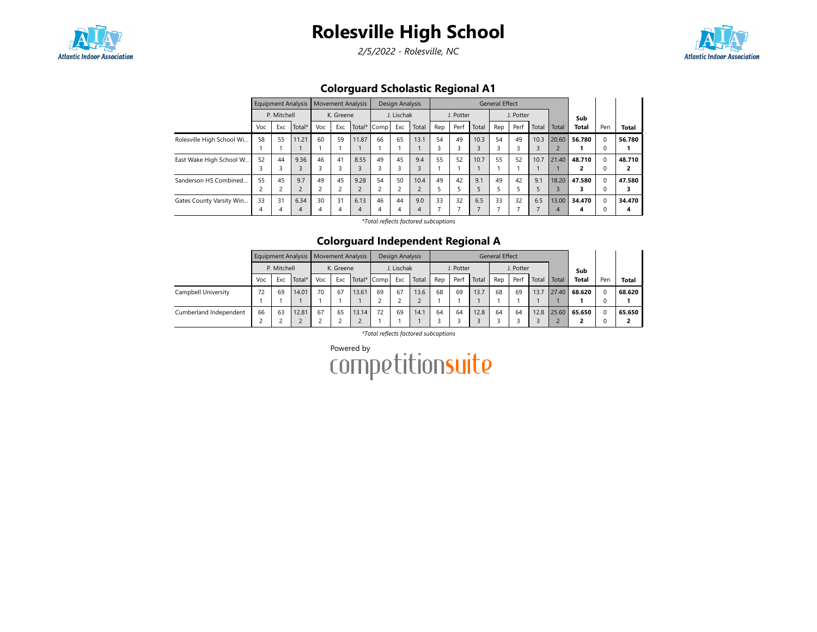

2/5/2022 - Rolesville, NC



# Colorguard Scholastic Regional A1

|                           |     |             | <b>Equipment Analysis</b> |     |           | <b>Movement Analysis</b> |      | Design Analysis |       |     |           |       | <b>General Effect</b> |           |       |       |              |          |              |
|---------------------------|-----|-------------|---------------------------|-----|-----------|--------------------------|------|-----------------|-------|-----|-----------|-------|-----------------------|-----------|-------|-------|--------------|----------|--------------|
|                           |     | P. Mitchell |                           |     | K. Greene |                          |      | J. Lischak      |       |     | J. Potter |       |                       | J. Potter |       |       | Sub          |          |              |
|                           | Voc | Exc         | Total*                    | Voc | Exc       | Total*                   | Comp | Exc             | Total | Rep | Perf      | Total | Rep                   | Perf      | Total | Total | <b>Total</b> | Pen      | <b>Total</b> |
| Rolesville High School Wi | 58  | 55          | 11.21                     | 60  | 59        | 11.87                    | 66   | 65              | 13.1  | 54  | 49        | 10.3  | 54                    | 49        | 10.3  | 20.60 | 56.780       | 0        | 56.780       |
|                           |     |             |                           |     |           |                          |      |                 |       | 3   |           |       |                       |           |       |       |              |          |              |
| East Wake High School W   | 52  | 44          | 9.36                      | 46  | 41        | 8.55                     | 49   | 45              | 9.4   | 55  | 52        | 10.7  | 55                    | 52        | 10.7  | 21.40 | 48.710       | $\Omega$ | 48.710       |
|                           | 3   |             | 3                         |     |           |                          | 3    | 3               |       |     |           |       |                       |           |       |       |              |          |              |
| Sanderson HS Combined     | 55  | 45          | 9.7                       | 49  | 45        | 9.28                     | 54   | 50              | 10.4  | 49  | 42        | 9.1   | 49                    | 42        | 9.1   | 18.20 | 47.580       | $\Omega$ | 47.580       |
|                           |     |             | $\overline{2}$            |     |           |                          |      | $\overline{c}$  |       | 5   |           |       |                       |           | 5     |       |              |          |              |
| Gates County Varsity Win  | 33  | 31          | 6.34                      | 30  | 31        | 6.13                     | 46   | 44              | 9.0   | 33  | 32        | 6.5   | 33                    | 32        | 6.5   | 13.00 | 34.470       |          | 34.470       |
|                           | 4   |             | $\overline{4}$            | 4   | 4         | 4                        | 4    | 4               | 4     |     |           |       |                       |           |       | 4     | 4            |          | 4            |

\*Total reflects factored subcaptions

#### Colorguard Independent Regional A

|                        |     |             |        | Equipment Analysis   Movement Analysis |                                 |       |    | Design Analysis |       |     |           |       | <b>General Effect</b> |           |       |       |        |     |              |
|------------------------|-----|-------------|--------|----------------------------------------|---------------------------------|-------|----|-----------------|-------|-----|-----------|-------|-----------------------|-----------|-------|-------|--------|-----|--------------|
|                        |     | P. Mitchell |        |                                        | K. Greene<br>Exc<br>Total* Comp |       |    | J. Lischak      |       |     | J. Potter |       |                       | J. Potter |       |       | Sub    |     |              |
|                        | Voc | Exc         | Total* | Voc                                    |                                 |       |    | Exc             | Total | Rep | Perf      | Total | Rep                   | Perf      | Total | Total | Total  | Pen | <b>Total</b> |
| Campbell University    | 72  | 69          | 14.01  | 70                                     | 67                              | 13.61 | 69 | 67              | 13.6  | 68  | 69        | 13.7  | 68                    | 69        | 13.7  | 27.40 | 68.620 |     | 68.620       |
|                        |     |             |        |                                        |                                 |       |    |                 |       |     |           |       |                       |           |       |       |        |     |              |
| Cumberland Independent | 66  | 63          | 12.81  | 67                                     | 65                              | 13.14 | 72 | 69              | 14.1  | 64  | 64        | 12.8  | 64                    | 64        | 12.8  | 25.60 | 65.650 |     | 65.650       |
|                        |     |             |        |                                        |                                 |       |    |                 |       |     |           |       |                       |           |       |       |        |     |              |

\*Total reflects factored subcaptions

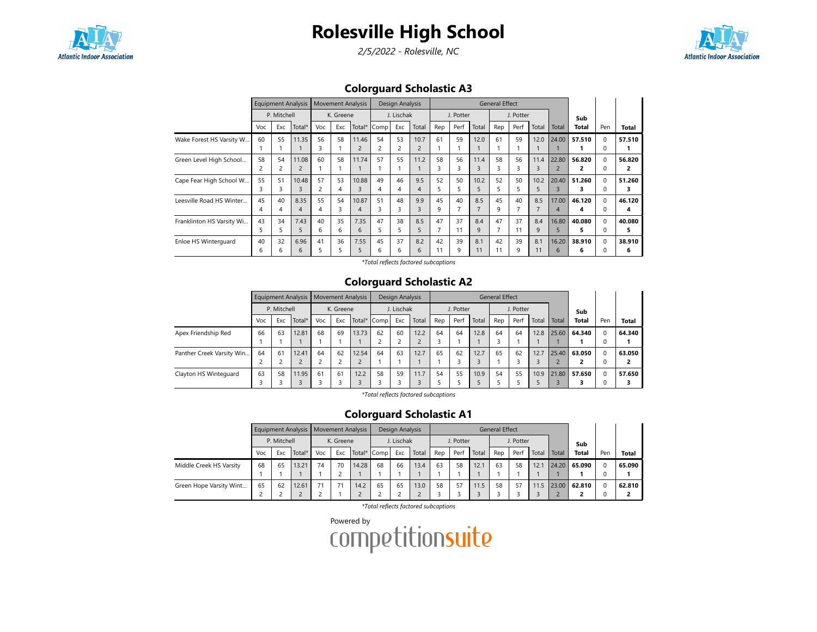

2/5/2022 - Rolesville, NC



## Colorguard Scholastic A3

|                           |     | <b>Equipment Analysis</b> |                |     | <b>Movement Analysis</b> |        |      | Design Analysis |               |     |           |                | <b>General Effect</b> |           |       |                |        |              |        |
|---------------------------|-----|---------------------------|----------------|-----|--------------------------|--------|------|-----------------|---------------|-----|-----------|----------------|-----------------------|-----------|-------|----------------|--------|--------------|--------|
|                           |     | P. Mitchell               |                |     | K. Greene                |        |      | J. Lischak      |               |     | J. Potter |                |                       | J. Potter |       |                | Sub    |              |        |
|                           | Voc | Exc                       | Total*         | Voc | Exc                      | Total* | Comp | Exc             | Total         | Rep | Perf      | Total          | Rep                   | Perf      | Total | Total          | Total  | Pen          | Total  |
| Wake Forest HS Varsity W  | 60  | 55                        | 11.35          | 56  | 58                       | 11.46  | 54   | 53              | 10.7          | 61  | 59        | 12.0           | 61                    | 59        | 12.0  | 24.00          | 57.510 | $\Omega$     | 57.510 |
|                           |     |                           |                | 3   |                          |        | 2    | 2               |               |     |           |                |                       |           |       |                |        | $\Omega$     |        |
| Green Level High School   | 58  | 54                        | 11.08          | 60  | 58                       | 11.74  | 57   | 55              | 11.2          | 58  | 56        | 11.4           | 58                    | 56        | 11.4  | 22.80          | 56.820 | $\Omega$     | 56.820 |
|                           |     | 2                         | $\overline{2}$ |     |                          |        |      |                 |               | 3   | 3         | 3              | З                     |           | 3     | $\overline{c}$ | 2      | $\Omega$     | 2      |
| Cape Fear High School W   | 55  | 51                        | 10.48          | 57  | 53                       | 10.88  | 49   | 46              | 9.5           | 52  | 50        | 10.2           | 52                    | 50        | 10.2  | 20.40          | 51.260 | $\Omega$     | 51.260 |
|                           |     | 3                         | 3              | 2   | 4                        |        | 4    |                 | 4             | 5   | 5         | 5              |                       |           | 5     | 3              |        | 0            | з      |
| Leesville Road HS Winter  | 45  | 40                        | 8.35           | 55  | 54                       | 10.87  | 51   | 48              | 9.9           | 45  | 40        | 8.5            | 45                    | 40        | 8.5   | 17.00          | 46.120 | $\Omega$     | 46.120 |
|                           |     |                           | 4              | 4   | 3                        | 4      | 3    | 3               | 3             | 9   |           | $\overline{7}$ | 9                     |           |       | 4              | 4      | $\Omega$     | 4      |
| Franklinton HS Varsity Wi | 43  | 34                        | 7.43           | 40  | 35                       | 7.35   | 47   | 38              | 8.5           | 47  | 37        | 8.4            | 47                    | 37        | 8.4   | 16.80          | 40.080 | $\Omega$     | 40.080 |
|                           |     | 5                         | 5              | 6   | 6                        | 6      | 5.   | 5               | $\mathcal{L}$ | 7   | 11        | 9              |                       | 11        | 9     | 5              | 5      | <sup>0</sup> | 5      |
| Enloe HS Winterguard      | 40  | 32                        | 6.96           | 41  | 36                       | 7.55   | 45   | 37              | 8.2           | 42  | 39        | 8.1            | 42                    | 39        | 8.1   | 16.20          | 38.910 | $\Omega$     | 38.910 |
|                           | 6   | h                         | 6              |     | 5                        |        | 6    | 6               | 6             | 11  | 9         |                | 11                    | q         | 11    | $\sqrt{2}$     | 6      | C            | 6      |

\*Total reflects factored subcaptions

### Colorguard Scholastic A2

|                           |     |             | Equipment Analysis |     |           | <b>Movement Analysis</b> |             | Design Analysis |       |     |           |       | General Effect |           |       |       |              |          |              |
|---------------------------|-----|-------------|--------------------|-----|-----------|--------------------------|-------------|-----------------|-------|-----|-----------|-------|----------------|-----------|-------|-------|--------------|----------|--------------|
|                           |     | P. Mitchell |                    |     | K. Greene |                          |             | J. Lischak      |       |     | J. Potter |       |                | J. Potter |       |       | Sub          |          |              |
|                           | Voc | Exc         | Total*             | Voc | Exc       |                          | Total* Comp | Exc             | Total | Rep | Perf      | Total | Rep            | Perf      | Total | Total | <b>Total</b> | Pen      | <b>Total</b> |
| Apex Friendship Red       | 66  | 63          | 12.81              | 68  | 69        | 13.73                    | 62          | 60              | 12.2  | 64  | 64        | 12.8  | 64             | 64        | 12.8  | 25.60 | 64.340       | $\Omega$ | 64.340       |
|                           |     |             |                    |     |           |                          |             |                 |       |     |           |       |                |           |       |       |              | $\Omega$ |              |
| Panther Creek Varsity Win | 64  | 61          | 12.41              | 64  | 62        | 12.54                    | 64          | 63              | 12.7  | 65  | 62        | 12.7  | 65             | 62        | 12.7  | 25.40 | 63.050       | $\Omega$ | 63.050       |
|                           | ∽   |             |                    | n   |           |                          |             |                 |       |     |           |       |                |           |       |       |              |          | ∍            |
| Clayton HS Wintequard     | 63  | 58          | 11.95              | 61  | 61        | 12.2                     | 58          | 59              | 11.7  | 54  | 55        | 10.9  | 54             | 55        | 10.9  | 21.80 | 57.650       |          | 57.650       |
|                           |     |             |                    |     |           |                          |             |                 |       |     |           |       |                |           |       |       |              | $\Omega$ |              |

\*Total reflects factored subcaptions

#### Colorguard Scholastic A1

|                         |     |             | Equipment Analysis   Movement Analysis |     |                                 |       |    | Design Analysis |       |     |           |       | <b>General Effect</b> |           |       |       |              |     |              |
|-------------------------|-----|-------------|----------------------------------------|-----|---------------------------------|-------|----|-----------------|-------|-----|-----------|-------|-----------------------|-----------|-------|-------|--------------|-----|--------------|
|                         |     | P. Mitchell |                                        |     | K. Greene<br>Exc<br>Total* Comp |       |    | J. Lischak      |       |     | J. Potter |       |                       | J. Potter |       |       | Sub          |     |              |
|                         | Voc | Exc         | Total*                                 | Voc |                                 |       |    | Exc             | Total | Rep | Perf      | Total | Rep                   | Perf      | Total | Total | <b>Total</b> | Pen | <b>Total</b> |
| Middle Creek HS Varsity | 68  | 65          | 13.21                                  | 74  | 70                              | 14.28 | 68 | 66              | 13.4  | 63  | 58        | 12.1  | 63                    | 58        | 12.1  | 24.20 | 65.090       |     | 65.090       |
|                         |     |             |                                        |     |                                 |       |    |                 |       |     |           |       |                       |           |       |       |              |     |              |
| Green Hope Varsity Wint | 65  | 62          | 12.61                                  |     |                                 | 14.2  | 65 | 65              | 13.0  | 58  | 57        | 11.5  | 58                    | 57        | 11.5  | 23.00 | 62.810       |     | 62.810       |
|                         |     |             |                                        |     |                                 |       |    |                 |       |     |           |       |                       |           |       |       |              |     |              |

\*Total reflects factored subcaptions